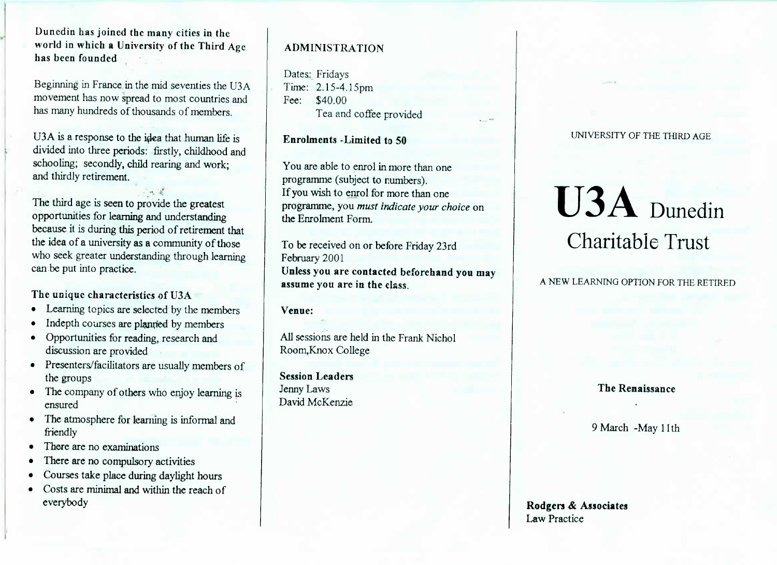**Duncdin has joined the many cities in the world in which a University of the Third Agehas been founded**

Beginning in France in the find seventies the USA movement has now spread to most countries andhas many hundreds of thousands of members.

UST E a response to the idea that human life is divided into three periods: firstly, childhood andsenoomig; secondry, child rearing and work, and thirdly retirement.

hrv The third age is seen to provide the greatest proportunities for learning and understanding the idea of a university as a community of those who seek greater understanding through learning can be put into practice.

- **The unique characteristics of U3A**<br>**Learning topics are selected by the**
- Indepth courses are planned by members • Indepth courses are planned by members
- Opportunities for reading, research and
- emberson are provided<br>Presenters/facilitators are usually members of
- the groups<br>The company of others who enjoy learning is
- ensured The atmosphere for learning is informal and
- nonary<br>There are
- There are no compulsory as
- There are no compulsory activities
- Courses take place during daylight hours Costs are minimal and within the reach ofeverybody

# **ADMINISTRATION**

Dates: Fridays $T$  ime:  $2.15-4.15$  pm Fee: \$40.00Tea and coffee provided

**Enrolments -Limited to 50**

You are able to enrol in more than oneprogramme (subject to numbers). If you wish to enrol for more than one programme, you *must indicate your choice* onthe Enrolment Form.

To be received on or before Friday 23rdFebruary 2001 **Unless you are contacted beforehand you mayassume you are in the class.**

### **Venue:**

All sessions are held in the Frank NicholRoom,Knox College

**Session Leaders**Jenny LawsDavid McKenzie UNIVERSITY OF THE THIRD AGE

# U3A Dunedin Charitable Trust

A NEW LEARNING OPTION FOR THE RETIRED

## **The Renaissance**

9 March -May llth

**Rodgers & Associates**Law Practice